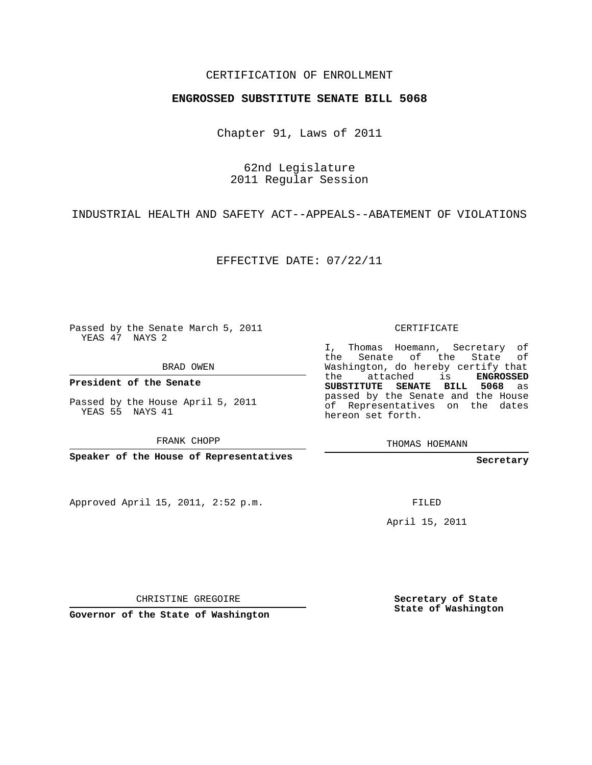## CERTIFICATION OF ENROLLMENT

## **ENGROSSED SUBSTITUTE SENATE BILL 5068**

Chapter 91, Laws of 2011

62nd Legislature 2011 Regular Session

INDUSTRIAL HEALTH AND SAFETY ACT--APPEALS--ABATEMENT OF VIOLATIONS

EFFECTIVE DATE: 07/22/11

Passed by the Senate March 5, 2011 YEAS 47 NAYS 2

BRAD OWEN

**President of the Senate**

Passed by the House April 5, 2011 YEAS 55 NAYS 41

FRANK CHOPP

**Speaker of the House of Representatives**

Approved April 15, 2011, 2:52 p.m.

CERTIFICATE

I, Thomas Hoemann, Secretary of the Senate of the State Washington, do hereby certify that the attached is **ENGROSSED SUBSTITUTE SENATE BILL 5068** as passed by the Senate and the House of Representatives on the dates hereon set forth.

THOMAS HOEMANN

**Secretary**

FILED

April 15, 2011

CHRISTINE GREGOIRE

**Governor of the State of Washington**

**Secretary of State State of Washington**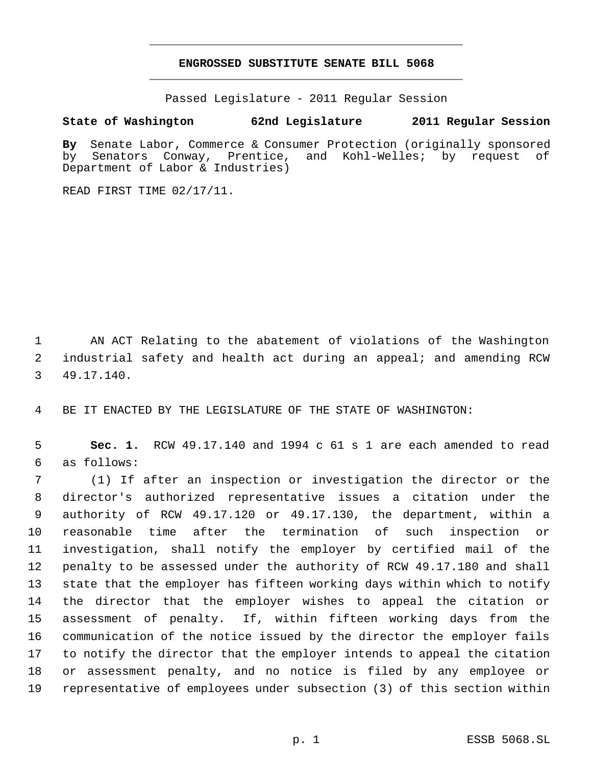## **ENGROSSED SUBSTITUTE SENATE BILL 5068** \_\_\_\_\_\_\_\_\_\_\_\_\_\_\_\_\_\_\_\_\_\_\_\_\_\_\_\_\_\_\_\_\_\_\_\_\_\_\_\_\_\_\_\_\_

\_\_\_\_\_\_\_\_\_\_\_\_\_\_\_\_\_\_\_\_\_\_\_\_\_\_\_\_\_\_\_\_\_\_\_\_\_\_\_\_\_\_\_\_\_

Passed Legislature - 2011 Regular Session

## **State of Washington 62nd Legislature 2011 Regular Session**

By Senate Labor, Commerce & Consumer Protection (originally sponsored<br>by Senators Conway, Prentice, and Kohl-Welles; by request of by Senators Conway, Prentice, and Kohl-Welles; by request of Department of Labor & Industries)

READ FIRST TIME 02/17/11.

 AN ACT Relating to the abatement of violations of the Washington industrial safety and health act during an appeal; and amending RCW 49.17.140.

BE IT ENACTED BY THE LEGISLATURE OF THE STATE OF WASHINGTON:

 **Sec. 1.** RCW 49.17.140 and 1994 c 61 s 1 are each amended to read as follows:

 (1) If after an inspection or investigation the director or the director's authorized representative issues a citation under the authority of RCW 49.17.120 or 49.17.130, the department, within a reasonable time after the termination of such inspection or investigation, shall notify the employer by certified mail of the penalty to be assessed under the authority of RCW 49.17.180 and shall state that the employer has fifteen working days within which to notify the director that the employer wishes to appeal the citation or assessment of penalty. If, within fifteen working days from the communication of the notice issued by the director the employer fails to notify the director that the employer intends to appeal the citation or assessment penalty, and no notice is filed by any employee or representative of employees under subsection (3) of this section within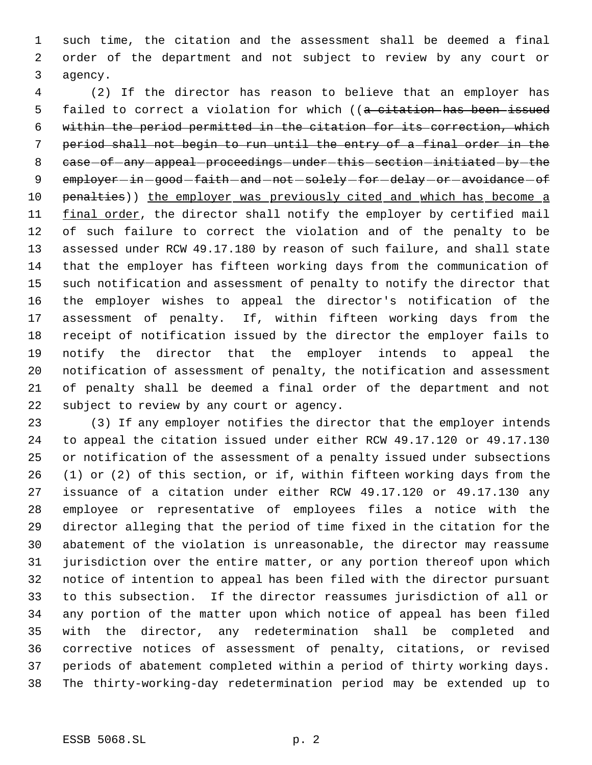such time, the citation and the assessment shall be deemed a final order of the department and not subject to review by any court or agency.

 (2) If the director has reason to believe that an employer has 5 failed to correct a violation for which ((a citation has been issued within the period permitted in the citation for its correction, which period shall not begin to run until the entry of a final order in the 8 case-of-any-appeal-proceedings-under-this-section-initiated-by-the 9 employer-in-good-faith-and-not-solely-for-delay-or-avoidance-of 10 penalties)) the employer was previously cited and which has become a 11 final order, the director shall notify the employer by certified mail of such failure to correct the violation and of the penalty to be assessed under RCW 49.17.180 by reason of such failure, and shall state that the employer has fifteen working days from the communication of such notification and assessment of penalty to notify the director that the employer wishes to appeal the director's notification of the assessment of penalty. If, within fifteen working days from the receipt of notification issued by the director the employer fails to notify the director that the employer intends to appeal the notification of assessment of penalty, the notification and assessment of penalty shall be deemed a final order of the department and not subject to review by any court or agency.

 (3) If any employer notifies the director that the employer intends to appeal the citation issued under either RCW 49.17.120 or 49.17.130 or notification of the assessment of a penalty issued under subsections (1) or (2) of this section, or if, within fifteen working days from the issuance of a citation under either RCW 49.17.120 or 49.17.130 any employee or representative of employees files a notice with the director alleging that the period of time fixed in the citation for the abatement of the violation is unreasonable, the director may reassume jurisdiction over the entire matter, or any portion thereof upon which notice of intention to appeal has been filed with the director pursuant to this subsection. If the director reassumes jurisdiction of all or any portion of the matter upon which notice of appeal has been filed with the director, any redetermination shall be completed and corrective notices of assessment of penalty, citations, or revised periods of abatement completed within a period of thirty working days. The thirty-working-day redetermination period may be extended up to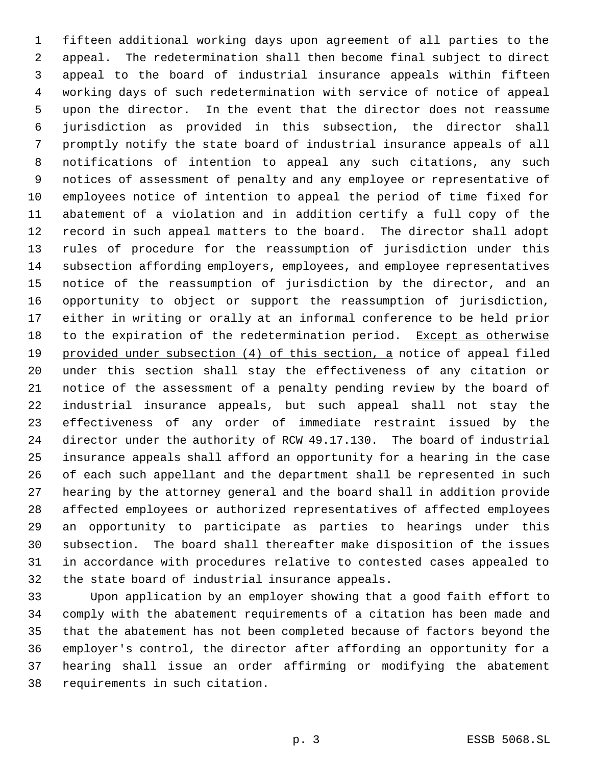fifteen additional working days upon agreement of all parties to the appeal. The redetermination shall then become final subject to direct appeal to the board of industrial insurance appeals within fifteen working days of such redetermination with service of notice of appeal upon the director. In the event that the director does not reassume jurisdiction as provided in this subsection, the director shall promptly notify the state board of industrial insurance appeals of all notifications of intention to appeal any such citations, any such notices of assessment of penalty and any employee or representative of employees notice of intention to appeal the period of time fixed for abatement of a violation and in addition certify a full copy of the record in such appeal matters to the board. The director shall adopt rules of procedure for the reassumption of jurisdiction under this subsection affording employers, employees, and employee representatives notice of the reassumption of jurisdiction by the director, and an opportunity to object or support the reassumption of jurisdiction, either in writing or orally at an informal conference to be held prior to the expiration of the redetermination period. Except as otherwise 19 provided under subsection (4) of this section, a notice of appeal filed under this section shall stay the effectiveness of any citation or notice of the assessment of a penalty pending review by the board of industrial insurance appeals, but such appeal shall not stay the effectiveness of any order of immediate restraint issued by the director under the authority of RCW 49.17.130. The board of industrial insurance appeals shall afford an opportunity for a hearing in the case of each such appellant and the department shall be represented in such hearing by the attorney general and the board shall in addition provide affected employees or authorized representatives of affected employees an opportunity to participate as parties to hearings under this subsection. The board shall thereafter make disposition of the issues in accordance with procedures relative to contested cases appealed to the state board of industrial insurance appeals.

 Upon application by an employer showing that a good faith effort to comply with the abatement requirements of a citation has been made and that the abatement has not been completed because of factors beyond the employer's control, the director after affording an opportunity for a hearing shall issue an order affirming or modifying the abatement requirements in such citation.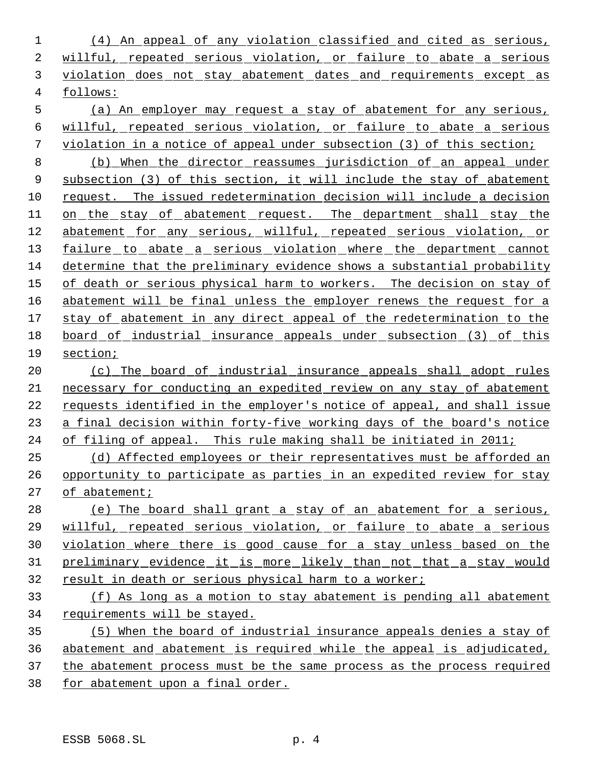(4) An appeal of any violation classified and cited as serious, willful, repeated serious violation, or failure to abate a serious violation does not stay abatement dates and requirements except as follows:

 (a) An employer may request a stay of abatement for any serious, willful, repeated serious violation, or failure to abate a serious violation in a notice of appeal under subsection (3) of this section;

 (b) When the director reassumes jurisdiction of an appeal under subsection (3) of this section, it will include the stay of abatement request. The issued redetermination decision will include a decision 11 on the stay of abatement request. The department shall stay the 12 abatement for any serious, willful, repeated serious violation, or 13 failure to abate a serious violation where the department cannot determine that the preliminary evidence shows a substantial probability 15 of death or serious physical harm to workers. The decision on stay of 16 abatement will be final unless the employer renews the request for a 17 stay of abatement in any direct appeal of the redetermination to the board of industrial insurance appeals under subsection (3) of this section;

 (c) The board of industrial insurance appeals shall adopt rules necessary for conducting an expedited review on any stay of abatement 22 requests identified in the employer's notice of appeal, and shall issue a final decision within forty-five working days of the board's notice of filing of appeal. This rule making shall be initiated in 2011;

 (d) Affected employees or their representatives must be afforded an opportunity to participate as parties in an expedited review for stay of abatement;

 (e) The board shall grant a stay of an abatement for a serious, willful, repeated serious violation, or failure to abate a serious violation where there is good cause for a stay unless based on the preliminary evidence it is more likely than not that a stay would result in death or serious physical harm to a worker;

 (f) As long as a motion to stay abatement is pending all abatement requirements will be stayed.

 (5) When the board of industrial insurance appeals denies a stay of abatement and abatement is required while the appeal is adjudicated, the abatement process must be the same process as the process required for abatement upon a final order.